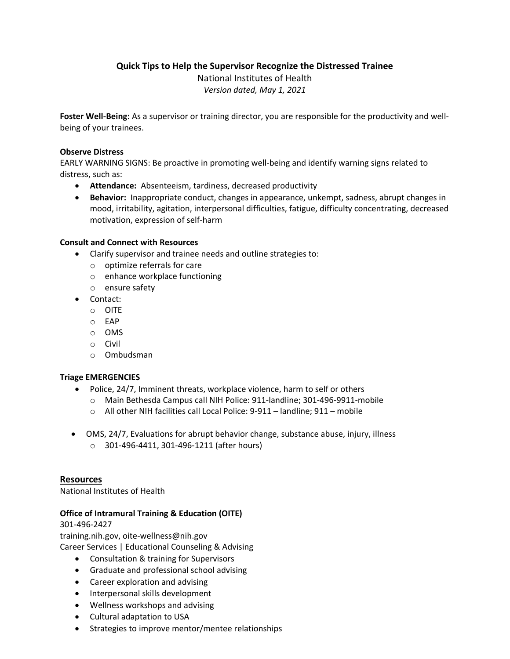**Quick Tips to Help the Supervisor Recognize the Distressed Trainee**

National Institutes of Health *Version dated, May 1, 2021*

**Foster Well-Being:** As a supervisor or training director, you are responsible for the productivity and wellbeing of your trainees.

### **Observe Distress**

EARLY WARNING SIGNS: Be proactive in promoting well-being and identify warning signs related to distress, such as:

- **Attendance:** Absenteeism, tardiness, decreased productivity
- **Behavior:** Inappropriate conduct, changes in appearance, unkempt, sadness, abrupt changes in mood, irritability, agitation, interpersonal difficulties, fatigue, difficulty concentrating, decreased motivation, expression of self-harm

# **Consult and Connect with Resources**

- Clarify supervisor and trainee needs and outline strategies to:
	- o optimize referrals for care
	- o enhance workplace functioning
	- o ensure safety
- Contact:
	- o OITE
	- o EAP
	- o OMS
	- o Civil
	- o Ombudsman

# **Triage EMERGENCIES**

- Police, 24/7, Imminent threats, workplace violence, harm to self or others
	- o Main Bethesda Campus call NIH Police: 911-landline; 301-496-9911-mobile
	- o All other NIH facilities call Local Police: 9-911 landline; 911 mobile
- OMS, 24/7, Evaluations for abrupt behavior change, substance abuse, injury, illness
	- o 301-496-4411, 301-496-1211 (after hours)

# **Resources**

National Institutes of Health

# **Office of Intramural Training & Education (OITE)**

301-496-2427 training.nih.gov, oite-wellness@nih.gov

Career Services | Educational Counseling & Advising

- Consultation & training for Supervisors
- Graduate and professional school advising
- Career exploration and advising
- Interpersonal skills development
- Wellness workshops and advising
- Cultural adaptation to USA
- Strategies to improve mentor/mentee relationships